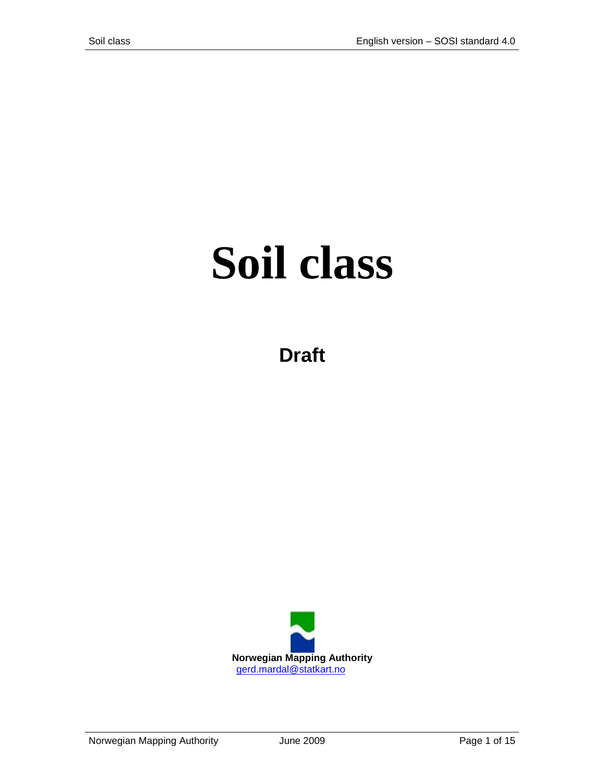# **Soil class**

**Draft**

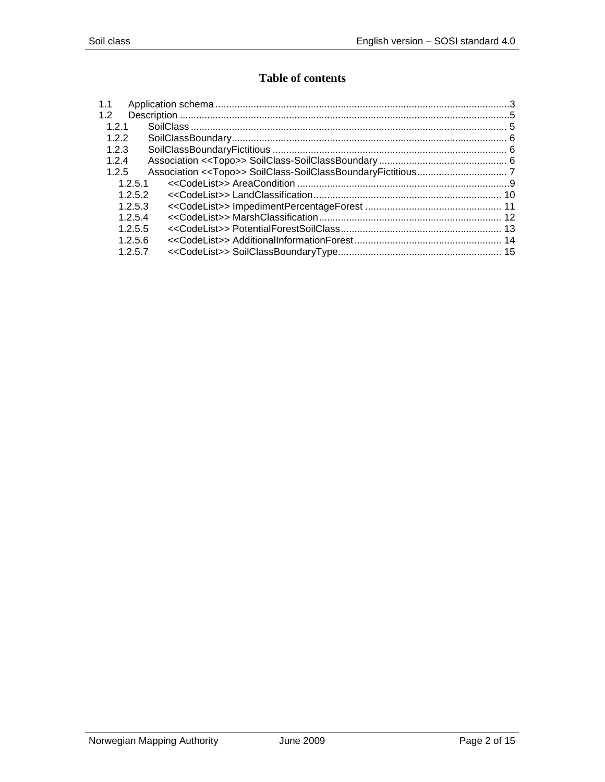## **Table of contents**

| 1.1     |  |
|---------|--|
| 1.2     |  |
| 1.2.1   |  |
| 122     |  |
| 1.2.3   |  |
| 1.2.4   |  |
| 1.2.5   |  |
| 1.2.5.1 |  |
| 1.2.5.2 |  |
| 1.2.5.3 |  |
| 1.2.5.4 |  |
| 1.2.5.5 |  |
| 1.2.5.6 |  |
| 1.2.5.7 |  |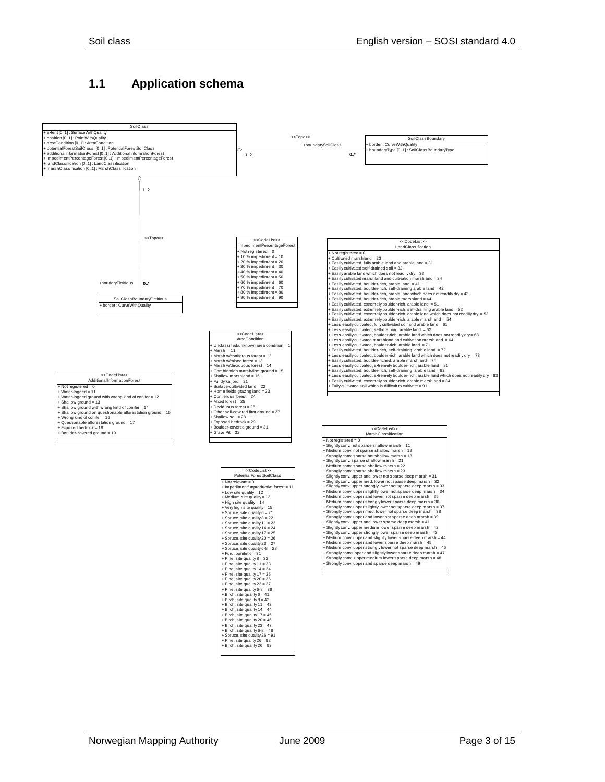#### <span id="page-2-0"></span>**1.1 Application schema**

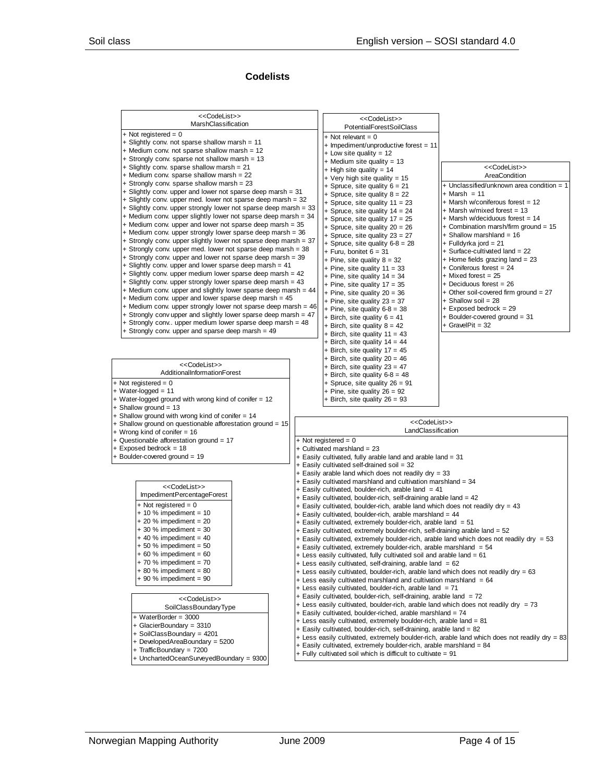#### **Codelists**

| < <codelist>&gt;</codelist>                                                                                                    | < <codelist>&gt;</codelist>                                                                                                                        |                                                                                               |
|--------------------------------------------------------------------------------------------------------------------------------|----------------------------------------------------------------------------------------------------------------------------------------------------|-----------------------------------------------------------------------------------------------|
| MarshClassification                                                                                                            | <b>PotentialForestSoilClass</b>                                                                                                                    |                                                                                               |
| $+$ Not registered = 0                                                                                                         | $+$ Not relevant = 0                                                                                                                               |                                                                                               |
| + Slightly conv. not sparse shallow marsh = 11                                                                                 | + Impediment/unproductive forest = 11                                                                                                              |                                                                                               |
| + Medium conv. not sparse shallow marsh = 12                                                                                   | $+$ Low site quality = 12                                                                                                                          |                                                                                               |
| + Strongly conv. sparse not shallow marsh = 13                                                                                 | $+$ Medium site quality = 13                                                                                                                       |                                                                                               |
| + Slightly conv. sparse shallow marsh = 21                                                                                     | $+$ High site quality = 14                                                                                                                         | < <codelist>&gt;</codelist>                                                                   |
| + Medium conv. sparse shallow marsh = 22<br>+ Strongly conv. sparse shallow marsh = 23                                         | + Very high site quality = 15                                                                                                                      | AreaCondition                                                                                 |
| + Slightly conv. upper and lower not sparse deep marsh = 31                                                                    | + Spruce, site quality $6 = 21$                                                                                                                    | + Unclassified/unknown area condition = 1                                                     |
| + Slightly conv. upper med. lower not sparse deep marsh = 32                                                                   | + Spruce, site quality $8 = 22$                                                                                                                    | $+$ Marsh = 11                                                                                |
| + Slightly conv. upper strongly lower not sparse deep marsh = 33                                                               | + Spruce, site quality $11 = 23$                                                                                                                   | + Marsh w/coniferous forest = 12<br>+ Marsh w/mixed forest = 13                               |
| + Medium conv. upper slightly lower not sparse deep marsh = 34                                                                 | + Spruce, site quality $14 = 24$<br>+ Spruce, site quality $17 = 25$                                                                               | + Marsh w/deciduous forest = 14                                                               |
| + Medium conv. upper and lower not sparse deep marsh = 35                                                                      | + Spruce, site quality $20 = 26$                                                                                                                   | $+$ Combination marsh/firm ground = 15                                                        |
| + Medium conv. upper strongly lower sparse deep marsh = 36                                                                     | + Spruce, site quality $23 = 27$                                                                                                                   | + Shallow marshland = 16                                                                      |
| + Strongly conv. upper slightly lower not sparse deep marsh = 37                                                               | + Spruce, site quality $6-8 = 28$                                                                                                                  | + Fulldyrka jord = 21                                                                         |
| + Strongly conv. upper med. lower not sparse deep marsh = 38                                                                   | + Furu, bonitet $6 = 31$                                                                                                                           | - Surface-cultivated land = 22                                                                |
| + Strongly conv. upper and lower not sparse deep marsh = 39                                                                    | + Pine, site quality $8 = 32$                                                                                                                      | + Home fields grazing land = 23                                                               |
| + Slightly conv. upper and lower sparse deep marsh = 41                                                                        | + Pine, site quality $11 = 33$                                                                                                                     | + Coniferous forest = 24                                                                      |
| + Slightly conv. upper medium lower sparse deep marsh = 42                                                                     | + Pine, site quality $14 = 34$                                                                                                                     | $+$ Mixed forest = 25                                                                         |
| + Slightly conv. upper strongly lower sparse deep marsh = 43<br>+ Medium conv. upper and slightly lower sparse deep marsh = 44 | + Pine, site quality $17 = 35$                                                                                                                     | $+$ Deciduous forest = 26                                                                     |
| + Medium conv. upper and lower sparse deep marsh = 45                                                                          | + Pine, site quality $20 = 36$                                                                                                                     | $+$ Other soil-covered firm ground = 27                                                       |
| + Medium conv. upper strongly lower not sparse deep marsh = 46                                                                 | + Pine, site quality $23 = 37$                                                                                                                     | $+$ Shallow soil = 28<br>$+$ Exposed bedrock = 29                                             |
| + Strongly conv upper and slightly lower sparse deep marsh = 47                                                                | + Pine, site quality $6-8 = 38$<br>+ Birch, site quality $6 = 41$                                                                                  | $+$ Boulder-covered ground = 31                                                               |
| + Strongly conv upper medium lower sparse deep marsh = 48                                                                      | + Birch, site quality $8 = 42$                                                                                                                     | $+$ GravelPit = 32                                                                            |
| + Strongly conv. upper and sparse deep marsh = 49                                                                              | + Birch, site quality 11 = 43                                                                                                                      |                                                                                               |
|                                                                                                                                | + Birch, site quality $14 = 44$                                                                                                                    |                                                                                               |
|                                                                                                                                | + Birch, site quality $17 = 45$                                                                                                                    |                                                                                               |
|                                                                                                                                | + Birch, site quality $20 = 46$                                                                                                                    |                                                                                               |
| < <codelist>&gt;</codelist>                                                                                                    | + Birch, site quality $23 = 47$                                                                                                                    |                                                                                               |
| AdditionalInformationForest                                                                                                    | + Birch, site quality $6-8 = 48$                                                                                                                   |                                                                                               |
| $+$ Not registered = 0                                                                                                         | + Spruce, site quality 26 = 91                                                                                                                     |                                                                                               |
| $+$ Water-logged = 11                                                                                                          | + Pine, site quality $26 = 92$                                                                                                                     |                                                                                               |
| + Water-logged ground with wrong kind of conifer = 12<br>$+$ Shallow ground = 13                                               | + Birch, site quality $26 = 93$                                                                                                                    |                                                                                               |
| + Shallow ground with wrong kind of conifer = 14                                                                               |                                                                                                                                                    |                                                                                               |
| + Shallow ground on questionable afforestation ground = 15                                                                     | < <codelist>&gt;</codelist>                                                                                                                        |                                                                                               |
| + Wrong kind of conifer = 16                                                                                                   | LandClassification                                                                                                                                 |                                                                                               |
| + Questionable afforestation ground = 17                                                                                       | $+$ Not registered = 0                                                                                                                             |                                                                                               |
| + Exposed bedrock = 18                                                                                                         | + Cultivated marshland = 23                                                                                                                        |                                                                                               |
| + Boulder-covered ground = 19                                                                                                  | + Easily cultivated, fully arable land and arable land = 31                                                                                        |                                                                                               |
|                                                                                                                                | + Easily cultivated self-drained soil = 32                                                                                                         |                                                                                               |
|                                                                                                                                | + Easily arable land which does not readily dry = 33                                                                                               |                                                                                               |
| < <codelist>&gt;</codelist>                                                                                                    | + Easily cultivated marshland and cultivation marshland = 34<br>+ Easily cultivated, boulder-rich, arable land = 41                                |                                                                                               |
| ImpedimentPercentageForest                                                                                                     | + Easily cultivated, boulder-rich, self-draining arable land = 42                                                                                  |                                                                                               |
| $+$ Not registered = 0                                                                                                         | + Easily cultivated, boulder-rich, arable land which does not readily dry = 43                                                                     |                                                                                               |
| $+10\%$ impediment = 10                                                                                                        | + Easily cultivated, boulder-rich, arable marshland = 44                                                                                           |                                                                                               |
| $+20$ % impediment = 20                                                                                                        | + Easily cultivated, extremely boulder-rich, arable land = 51                                                                                      |                                                                                               |
| $+30\%$ impediment = 30                                                                                                        | + Easily cultivated, extremely boulder-rich, self-draining arable land = 52                                                                        |                                                                                               |
| $+40$ % impediment = 40                                                                                                        | + Easily cultivated, extremely boulder-rich, arable land which does not readily dry = 53                                                           |                                                                                               |
| $+50$ % impediment = 50<br>60 % impediment = $60$                                                                              | + Easily cultivated, extremely boulder-rich, arable marshland = 54                                                                                 |                                                                                               |
| $+70%$ impediment = 70                                                                                                         | + Less easily cultivated, fully cultivated soil and arable land = 61                                                                               |                                                                                               |
| $+80\%$ impediment = 80                                                                                                        | + Less easily cultivated, self-draining, arable land = 62<br>$+$ Less easily cultivated, boulder-rich, arable land which does not readily dry = 63 |                                                                                               |
| $+90$ % impediment = 90                                                                                                        | $+$ Less easily cultivated marshland and cultivation marshland = 64                                                                                |                                                                                               |
|                                                                                                                                | + Less easily cultivated, boulder-rich, arable land = 71                                                                                           |                                                                                               |
|                                                                                                                                | + Easily cultivated, boulder-rich, self-draining, arable land = 72                                                                                 |                                                                                               |
| < <codelist>&gt;<br/>SoilClassBoundaryType</codelist>                                                                          | + Less easily cultivated, boulder-rich, arable land which does not readily dry = 73                                                                |                                                                                               |
|                                                                                                                                | + Easily cultivated, boulder-riched, arable marshland = 74                                                                                         |                                                                                               |
| + WaterBorder = 3000                                                                                                           | + Less easily cultivated, extremely boulder-rich, arable land = 81                                                                                 |                                                                                               |
| + GlacierBoundary = 3310<br>+ SoilClassBoundary = 4201                                                                         | + Easily cultivated, boulder-rich, self-draining, arable land = 82                                                                                 |                                                                                               |
| + DevelopedAreaBoundary = 5200                                                                                                 |                                                                                                                                                    | + Less easily cultivated, extremely boulder-rich, arable land which does not readily dry = 83 |
| + TrafficBoundary = 7200                                                                                                       | + Easily cultivated, extremely boulder-rich, arable marshland = 84                                                                                 |                                                                                               |
| + UnchartedOceanSurveyedBoundary = 9300                                                                                        | + Fully cultivated soil which is difficult to cultivate = 91                                                                                       |                                                                                               |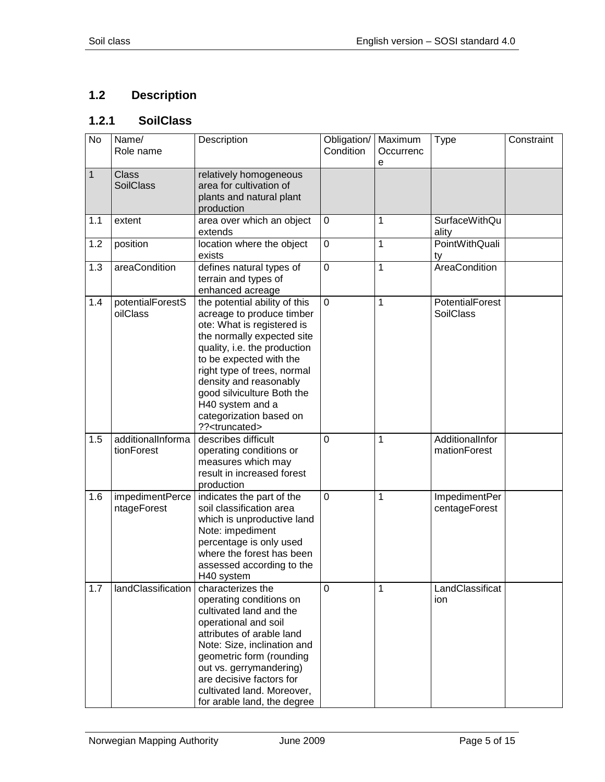## <span id="page-4-0"></span>**1.2 Description**

## <span id="page-4-1"></span>**1.2.1 SoilClass**

| $\overline{N}$ | Name/<br>Role name               | Description                                                                                                                                                                                                                                                                                                                                           | Obligation/<br>Condition | Maximum<br>Occurrenc<br>е | <b>Type</b>                         | Constraint |
|----------------|----------------------------------|-------------------------------------------------------------------------------------------------------------------------------------------------------------------------------------------------------------------------------------------------------------------------------------------------------------------------------------------------------|--------------------------|---------------------------|-------------------------------------|------------|
| $\mathbf{1}$   | <b>Class</b><br><b>SoilClass</b> | relatively homogeneous<br>area for cultivation of<br>plants and natural plant<br>production                                                                                                                                                                                                                                                           |                          |                           |                                     |            |
| 1.1            | extent                           | area over which an object<br>extends                                                                                                                                                                                                                                                                                                                  | $\mathbf 0$              | 1                         | <b>SurfaceWithQu</b><br>ality       |            |
| 1.2            | position                         | location where the object<br>exists                                                                                                                                                                                                                                                                                                                   | $\mathbf 0$              | 1                         | PointWithQuali<br>ty                |            |
| 1.3            | areaCondition                    | defines natural types of<br>terrain and types of<br>enhanced acreage                                                                                                                                                                                                                                                                                  | $\mathbf 0$              | $\mathbf{1}$              | AreaCondition                       |            |
| 1.4            | potentialForestS<br>oilClass     | the potential ability of this<br>acreage to produce timber<br>ote: What is registered is<br>the normally expected site<br>quality, i.e. the production<br>to be expected with the<br>right type of trees, normal<br>density and reasonably<br>good silviculture Both the<br>H40 system and a<br>categorization based on<br>?? <truncated></truncated> | $\overline{0}$           | $\mathbf{1}$              | PotentialForest<br><b>SoilClass</b> |            |
| 1.5            | additionalInforma<br>tionForest  | describes difficult<br>operating conditions or<br>measures which may<br>result in increased forest<br>production                                                                                                                                                                                                                                      | $\overline{0}$           | 1                         | AdditionalInfor<br>mationForest     |            |
| 1.6            | impedimentPerce<br>ntageForest   | indicates the part of the<br>soil classification area<br>which is unproductive land<br>Note: impediment<br>percentage is only used<br>where the forest has been<br>assessed according to the<br>H40 system                                                                                                                                            | $\overline{0}$           | 1                         | ImpedimentPer<br>centageForest      |            |
| 1.7            | landClassification               | characterizes the<br>operating conditions on<br>cultivated land and the<br>operational and soil<br>attributes of arable land<br>Note: Size, inclination and<br>geometric form (rounding<br>out vs. gerrymandering)<br>are decisive factors for<br>cultivated land. Moreover,<br>for arable land, the degree                                           | $\Omega$                 | 1                         | LandClassificat<br>ion.             |            |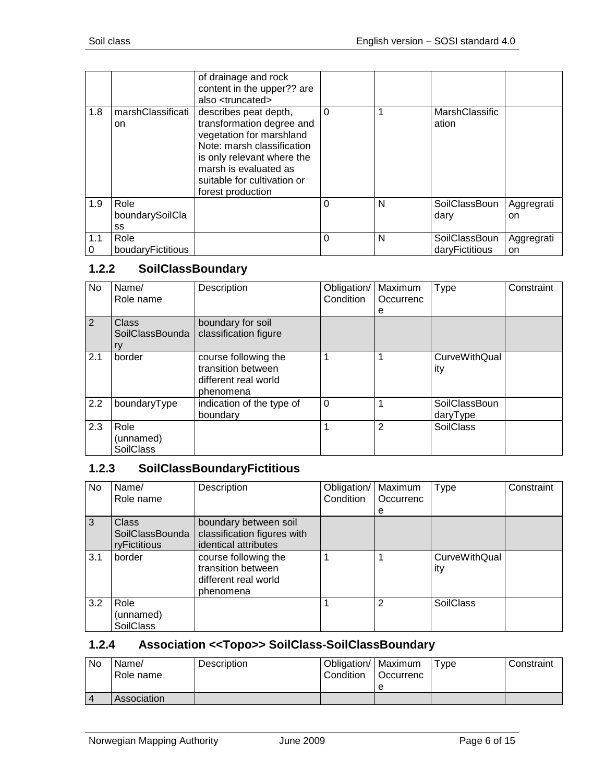|          |                               | of drainage and rock<br>content in the upper?? are<br>also <truncated></truncated>                                                                                                                                      |   |   |                                 |                   |
|----------|-------------------------------|-------------------------------------------------------------------------------------------------------------------------------------------------------------------------------------------------------------------------|---|---|---------------------------------|-------------------|
| 1.8      | marshClassificati<br>on       | describes peat depth,<br>transformation degree and<br>vegetation for marshland<br>Note: marsh classification<br>is only relevant where the<br>marsh is evaluated as<br>suitable for cultivation or<br>forest production | 0 |   | MarshClassific<br>ation         |                   |
| 1.9      | Role<br>boundarySoilCla<br>SS |                                                                                                                                                                                                                         | 0 | N | SoilClassBoun<br>dary           | Aggregrati<br>on. |
| 1.1<br>0 | Role<br>boudaryFictitious     |                                                                                                                                                                                                                         | 0 | N | SoilClassBoun<br>daryFictitious | Aggregrati<br>on  |

## <span id="page-5-0"></span>**1.2.2 SoilClassBoundary**

| No  | Name/<br>Role name                    | Description                                                                     | Obligation/<br>Condition | Maximum<br>Occurrenc<br>е | <b>Type</b>                 | Constraint |
|-----|---------------------------------------|---------------------------------------------------------------------------------|--------------------------|---------------------------|-----------------------------|------------|
| 2   | <b>Class</b><br>SoilClassBounda<br>ry | boundary for soil<br>classification figure                                      |                          |                           |                             |            |
| 2.1 | border                                | course following the<br>transition between<br>different real world<br>phenomena |                          |                           | <b>CurveWithQual</b><br>ity |            |
| 2.2 | boundaryType                          | indication of the type of<br>boundary                                           | $\Omega$                 |                           | SoilClassBoun<br>daryType   |            |
| 2.3 | Role<br>(unnamed)<br><b>SoilClass</b> |                                                                                 |                          | 2                         | <b>SoilClass</b>            |            |

#### <span id="page-5-1"></span>**1.2.3 SoilClassBoundaryFictitious**

| No  | Name/<br>Role name                              | Description                                                                     | Obligation/<br>Condition | Maximum<br>Occurrenc | Type                        | Constraint |
|-----|-------------------------------------------------|---------------------------------------------------------------------------------|--------------------------|----------------------|-----------------------------|------------|
| 3   | <b>Class</b><br>SoilClassBounda<br>ryFictitious | boundary between soil<br>classification figures with<br>identical attributes    |                          | е                    |                             |            |
| 3.1 | border                                          | course following the<br>transition between<br>different real world<br>phenomena |                          |                      | <b>CurveWithQual</b><br>ity |            |
| 3.2 | Role<br>(unnamed)<br><b>SoilClass</b>           |                                                                                 |                          | $\overline{2}$       | <b>SoilClass</b>            |            |

## <span id="page-5-2"></span>**1.2.4 Association <<Topo>> SoilClass-SoilClassBoundary**

| No | Name/<br>Role name | Description | Obligation/   Maximum<br>Condition | l Occurrenc | Type | Constraint |
|----|--------------------|-------------|------------------------------------|-------------|------|------------|
|    |                    |             |                                    | е           |      |            |
|    | Association        |             |                                    |             |      |            |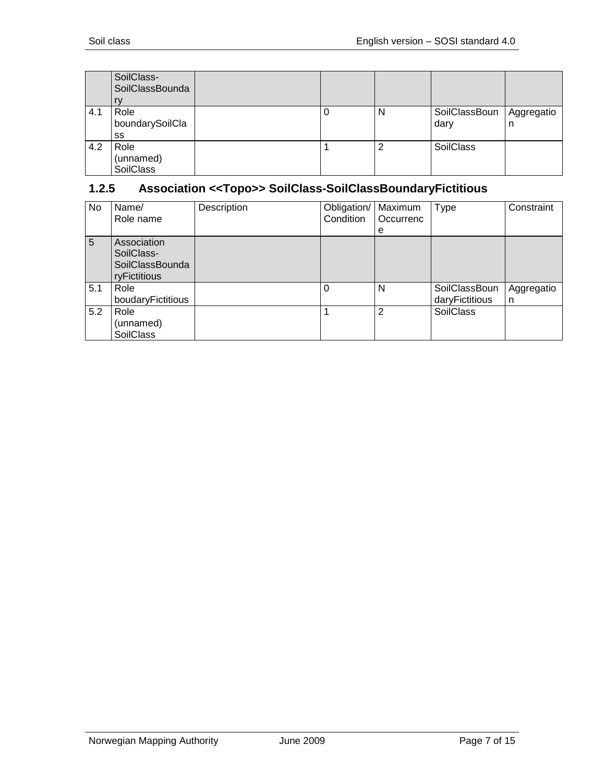|     | SoilClass-<br>SoilClassBounda         |  |   |                       |                 |
|-----|---------------------------------------|--|---|-----------------------|-----------------|
| 4.1 | Role<br>boundarySoilCla<br>SS         |  | N | SoilClassBoun<br>dary | Aggregatio<br>n |
| 4.2 | Role<br>(unnamed)<br><b>SoilClass</b> |  | 2 | <b>SoilClass</b>      |                 |

## <span id="page-6-0"></span>**1.2.5 Association <<Topo>> SoilClass-SoilClassBoundaryFictitious**

| No. | Name/<br>Role name                                                  | Description | Obligation/<br>Condition | Maximum<br>Occurrenc<br>e | Type                            | Constraint      |
|-----|---------------------------------------------------------------------|-------------|--------------------------|---------------------------|---------------------------------|-----------------|
| 5   | Association<br>SoilClass-<br><b>SoilClassBounda</b><br>ryFictitious |             |                          |                           |                                 |                 |
| 5.1 | Role<br>boudaryFictitious                                           |             | 0                        | N                         | SoilClassBoun<br>daryFictitious | Aggregatio<br>n |
| 5.2 | Role<br>(unnamed)<br><b>SoilClass</b>                               |             |                          | $\overline{2}$            | <b>SoilClass</b>                |                 |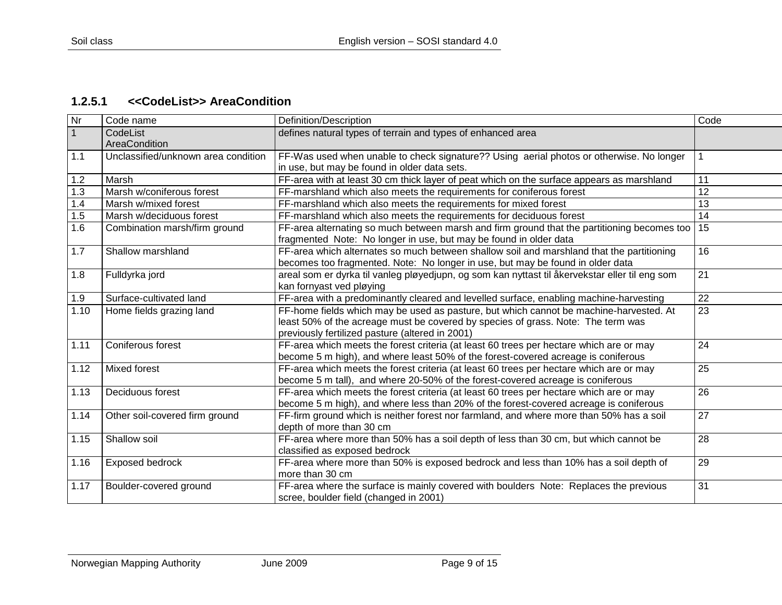## **1.2.5.1 <<CodeList>> AreaCondition**

<span id="page-8-0"></span>

| Nr           | Code name                           | Definition/Description                                                                                                                                                                                                        | Code |
|--------------|-------------------------------------|-------------------------------------------------------------------------------------------------------------------------------------------------------------------------------------------------------------------------------|------|
| $\mathbf{1}$ | CodeList<br>AreaCondition           | defines natural types of terrain and types of enhanced area                                                                                                                                                                   |      |
| 1.1          | Unclassified/unknown area condition | FF-Was used when unable to check signature?? Using aerial photos or otherwise. No longer<br>in use, but may be found in older data sets.                                                                                      |      |
| 1.2          | Marsh                               | FF-area with at least 30 cm thick layer of peat which on the surface appears as marshland                                                                                                                                     | 11   |
| 1.3          | Marsh w/coniferous forest           | FF-marshland which also meets the requirements for coniferous forest                                                                                                                                                          | 12   |
| 1.4          | Marsh w/mixed forest                | FF-marshland which also meets the requirements for mixed forest                                                                                                                                                               | 13   |
| 1.5          | Marsh w/deciduous forest            | FF-marshland which also meets the requirements for deciduous forest                                                                                                                                                           | 14   |
| 1.6          | Combination marsh/firm ground       | FF-area alternating so much between marsh and firm ground that the partitioning becomes too<br>fragmented Note: No longer in use, but may be found in older data                                                              | 15   |
| 1.7          | Shallow marshland                   | FF-area which alternates so much between shallow soil and marshland that the partitioning<br>becomes too fragmented. Note: No longer in use, but may be found in older data                                                   | 16   |
| 1.8          | Fulldyrka jord                      | areal som er dyrka til vanleg pløyedjupn, og som kan nyttast til åkervekstar eller til eng som<br>kan fornyast ved pløying                                                                                                    | 21   |
| 1.9          | Surface-cultivated land             | FF-area with a predominantly cleared and levelled surface, enabling machine-harvesting                                                                                                                                        | 22   |
| 1.10         | Home fields grazing land            | FF-home fields which may be used as pasture, but which cannot be machine-harvested. At<br>least 50% of the acreage must be covered by species of grass. Note: The term was<br>previously fertilized pasture (altered in 2001) | 23   |
| 1.11         | Coniferous forest                   | FF-area which meets the forest criteria (at least 60 trees per hectare which are or may<br>become 5 m high), and where least 50% of the forest-covered acreage is coniferous                                                  | 24   |
| 1.12         | Mixed forest                        | FF-area which meets the forest criteria (at least 60 trees per hectare which are or may<br>become 5 m tall), and where 20-50% of the forest-covered acreage is coniferous                                                     | 25   |
| 1.13         | Deciduous forest                    | FF-area which meets the forest criteria (at least 60 trees per hectare which are or may<br>become 5 m high), and where less than 20% of the forest-covered acreage is coniferous                                              | 26   |
| 1.14         | Other soil-covered firm ground      | FF-firm ground which is neither forest nor farmland, and where more than 50% has a soil<br>depth of more than 30 cm                                                                                                           | 27   |
| 1.15         | Shallow soil                        | FF-area where more than 50% has a soil depth of less than 30 cm, but which cannot be<br>classified as exposed bedrock                                                                                                         | 28   |
| 1.16         | Exposed bedrock                     | FF-area where more than 50% is exposed bedrock and less than 10% has a soil depth of<br>more than 30 cm                                                                                                                       | 29   |
| 1.17         | Boulder-covered ground              | FF-area where the surface is mainly covered with boulders Note: Replaces the previous<br>scree, boulder field (changed in 2001)                                                                                               | 31   |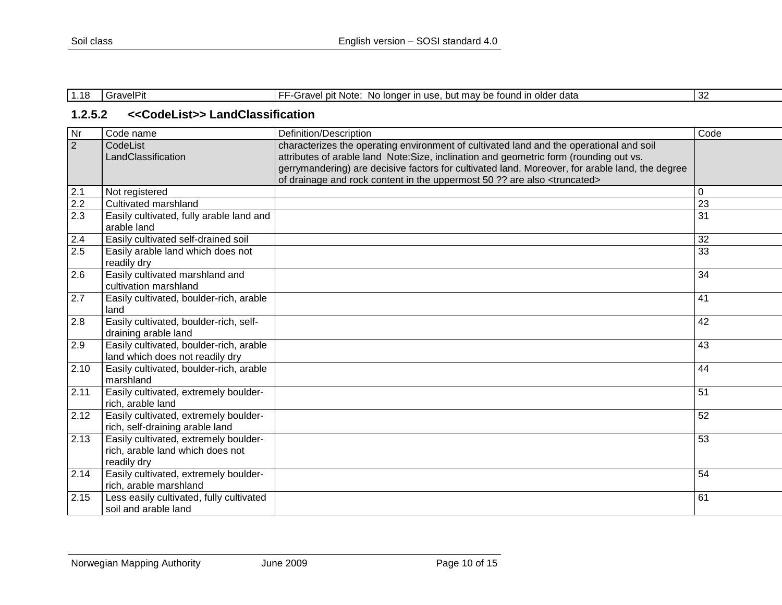| $\overline{A}$<br>. . 10 | sravelP" | No longer in use.<br>. but mav be found in older data<br>l pit Note:<br>-Gravel | -20<br>ىر |
|--------------------------|----------|---------------------------------------------------------------------------------|-----------|

#### **1.2.5.2 <<CodeList>> LandClassification**

<span id="page-9-0"></span>

| Nr               | Code name                                                                                | Definition/Description                                                                                                                                                                  | Code            |
|------------------|------------------------------------------------------------------------------------------|-----------------------------------------------------------------------------------------------------------------------------------------------------------------------------------------|-----------------|
| $\overline{2}$   | CodeList<br>LandClassification                                                           | characterizes the operating environment of cultivated land and the operational and soil<br>attributes of arable land Note: Size, inclination and geometric form (rounding out vs.       |                 |
|                  |                                                                                          | gerrymandering) are decisive factors for cultivated land. Moreover, for arable land, the degree<br>of drainage and rock content in the uppermost 50 ?? are also <truncated></truncated> |                 |
| 2.1              | Not registered                                                                           |                                                                                                                                                                                         | 0               |
| 2.2              | Cultivated marshland                                                                     |                                                                                                                                                                                         | 23              |
| 2.3              | Easily cultivated, fully arable land and<br>arable land                                  |                                                                                                                                                                                         | $\overline{31}$ |
| 2.4              | Easily cultivated self-drained soil                                                      |                                                                                                                                                                                         | 32              |
| $\overline{2.5}$ | Easily arable land which does not<br>readily dry                                         |                                                                                                                                                                                         | $\overline{33}$ |
| 2.6              | Easily cultivated marshland and<br>cultivation marshland                                 |                                                                                                                                                                                         | 34              |
| 2.7              | Easily cultivated, boulder-rich, arable<br>land                                          |                                                                                                                                                                                         | 41              |
| 2.8              | Easily cultivated, boulder-rich, self-<br>draining arable land                           |                                                                                                                                                                                         | 42              |
| 2.9              | Easily cultivated, boulder-rich, arable<br>land which does not readily dry               |                                                                                                                                                                                         | 43              |
| 2.10             | Easily cultivated, boulder-rich, arable<br>marshland                                     |                                                                                                                                                                                         | 44              |
| 2.11             | Easily cultivated, extremely boulder-<br>rich, arable land                               |                                                                                                                                                                                         | 51              |
| 2.12             | Easily cultivated, extremely boulder-<br>rich, self-draining arable land                 |                                                                                                                                                                                         | 52              |
| 2.13             | Easily cultivated, extremely boulder-<br>rich, arable land which does not<br>readily dry |                                                                                                                                                                                         | 53              |
| 2.14             | Easily cultivated, extremely boulder-<br>rich, arable marshland                          |                                                                                                                                                                                         | 54              |
| 2.15             | Less easily cultivated, fully cultivated<br>soil and arable land                         |                                                                                                                                                                                         | 61              |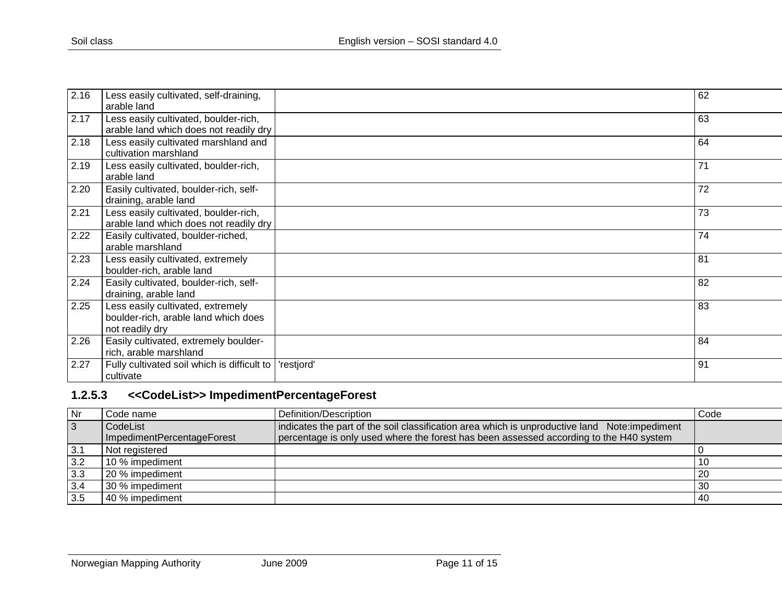| 2.16 | Less easily cultivated, self-draining,      |            | 62 |
|------|---------------------------------------------|------------|----|
|      | arable land                                 |            |    |
| 2.17 | Less easily cultivated, boulder-rich,       |            | 63 |
|      | arable land which does not readily dry      |            |    |
| 2.18 | Less easily cultivated marshland and        |            | 64 |
|      | cultivation marshland                       |            |    |
| 2.19 | Less easily cultivated, boulder-rich,       |            | 71 |
|      | arable land                                 |            |    |
| 2.20 | Easily cultivated, boulder-rich, self-      |            | 72 |
|      | draining, arable land                       |            |    |
| 2.21 | Less easily cultivated, boulder-rich,       |            | 73 |
|      | arable land which does not readily dry      |            |    |
| 2.22 | Easily cultivated, boulder-riched,          |            | 74 |
|      | arable marshland                            |            |    |
| 2.23 | Less easily cultivated, extremely           |            | 81 |
|      | boulder-rich, arable land                   |            |    |
| 2.24 | Easily cultivated, boulder-rich, self-      |            | 82 |
|      | draining, arable land                       |            |    |
| 2.25 | Less easily cultivated, extremely           |            | 83 |
|      | boulder-rich, arable land which does        |            |    |
|      | not readily dry                             |            |    |
| 2.26 | Easily cultivated, extremely boulder-       |            | 84 |
|      | rich, arable marshland                      |            |    |
| 2.27 | Fully cultivated soil which is difficult to | 'restjord' | 91 |
|      | cultivate                                   |            |    |

## **1.2.5.3 <<CodeList>> ImpedimentPercentageForest**

<span id="page-10-0"></span>

| Nr             | Code name                  | Definition/Description                                                                         | Code |
|----------------|----------------------------|------------------------------------------------------------------------------------------------|------|
| $\overline{3}$ | CodeList                   | indicates the part of the soil classification area which is unproductive land Note: impediment |      |
|                | ImpedimentPercentageForest | percentage is only used where the forest has been assessed according to the H40 system         |      |
| 3.1            | Not registered             |                                                                                                |      |
| 3.2            | 10 % impediment            |                                                                                                |      |
| 3.3            | 20 % impediment            |                                                                                                | -20  |
| 3.4            | 30 % impediment            |                                                                                                | 30   |
| 3.5            | 40 % impediment            |                                                                                                | -40  |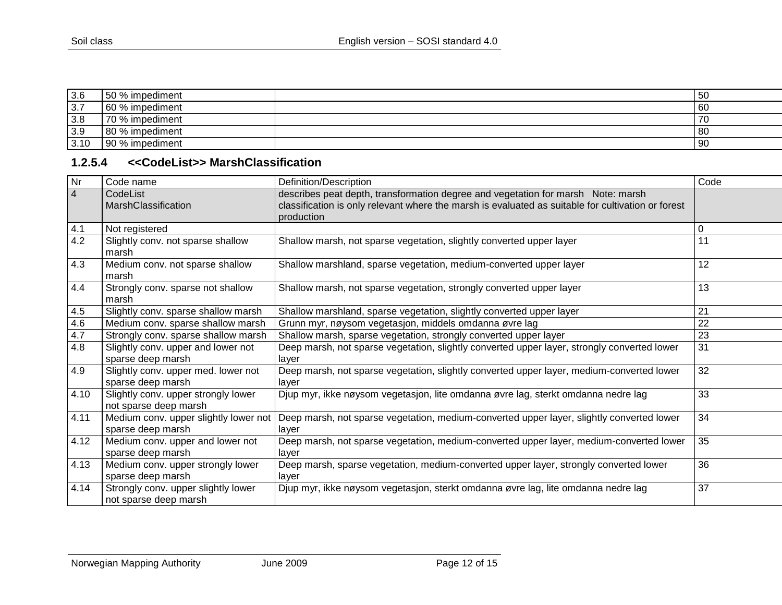| 3.6  | 50%<br>$\cdot$ impediment $\cdot$ | -<br>⊥5∪       |
|------|-----------------------------------|----------------|
| 3.7  | 60 % impediment                   | $-60$          |
| 3.8  | 70 % impediment                   | $\overline{7}$ |
| 3.9  | impediment<br>80%                 | l 80           |
| 3.10 | 190%<br>impediment                | 90             |

#### **1.2.5.4 <<CodeList>> MarshClassification**

<span id="page-11-0"></span>

| $\overline{\mathsf{N}}$ r | Code name                                                    | Definition/Description                                                                                                                                                                               | Code |
|---------------------------|--------------------------------------------------------------|------------------------------------------------------------------------------------------------------------------------------------------------------------------------------------------------------|------|
| $\overline{4}$            | CodeList<br>MarshClassification                              | describes peat depth, transformation degree and vegetation for marsh Note: marsh<br>classification is only relevant where the marsh is evaluated as suitable for cultivation or forest<br>production |      |
| 4.1                       | Not registered                                               |                                                                                                                                                                                                      | 0    |
| 4.2                       | Slightly conv. not sparse shallow<br>marsh                   | Shallow marsh, not sparse vegetation, slightly converted upper layer                                                                                                                                 | 11   |
| 4.3                       | Medium conv. not sparse shallow<br>marsh                     | Shallow marshland, sparse vegetation, medium-converted upper layer                                                                                                                                   | 12   |
| 4.4                       | Strongly conv. sparse not shallow<br>marsh                   | Shallow marsh, not sparse vegetation, strongly converted upper layer                                                                                                                                 | 13   |
| 4.5                       | Slightly conv. sparse shallow marsh                          | Shallow marshland, sparse vegetation, slightly converted upper layer                                                                                                                                 | 21   |
| 4.6                       | Medium conv. sparse shallow marsh                            | Grunn myr, nøysom vegetasjon, middels omdanna øvre lag                                                                                                                                               | 22   |
| 4.7                       | Strongly conv. sparse shallow marsh                          | Shallow marsh, sparse vegetation, strongly converted upper layer                                                                                                                                     | 23   |
| 4.8                       | Slightly conv. upper and lower not<br>sparse deep marsh      | Deep marsh, not sparse vegetation, slightly converted upper layer, strongly converted lower<br>layer                                                                                                 | 31   |
| 4.9                       | Slightly conv. upper med. lower not<br>sparse deep marsh     | Deep marsh, not sparse vegetation, slightly converted upper layer, medium-converted lower<br>layer                                                                                                   | 32   |
| 4.10                      | Slightly conv. upper strongly lower<br>not sparse deep marsh | Djup myr, ikke nøysom vegetasjon, lite omdanna øvre lag, sterkt omdanna nedre lag                                                                                                                    | 33   |
| 4.11                      | Medium conv. upper slightly lower not<br>sparse deep marsh   | Deep marsh, not sparse vegetation, medium-converted upper layer, slightly converted lower<br>layer                                                                                                   | 34   |
| 4.12                      | Medium conv. upper and lower not<br>sparse deep marsh        | Deep marsh, not sparse vegetation, medium-converted upper layer, medium-converted lower<br>layer                                                                                                     | 35   |
| 4.13                      | Medium conv. upper strongly lower<br>sparse deep marsh       | Deep marsh, sparse vegetation, medium-converted upper layer, strongly converted lower<br>layer                                                                                                       | 36   |
| 4.14                      | Strongly conv. upper slightly lower<br>not sparse deep marsh | Djup myr, ikke nøysom vegetasjon, sterkt omdanna øvre lag, lite omdanna nedre lag                                                                                                                    | 37   |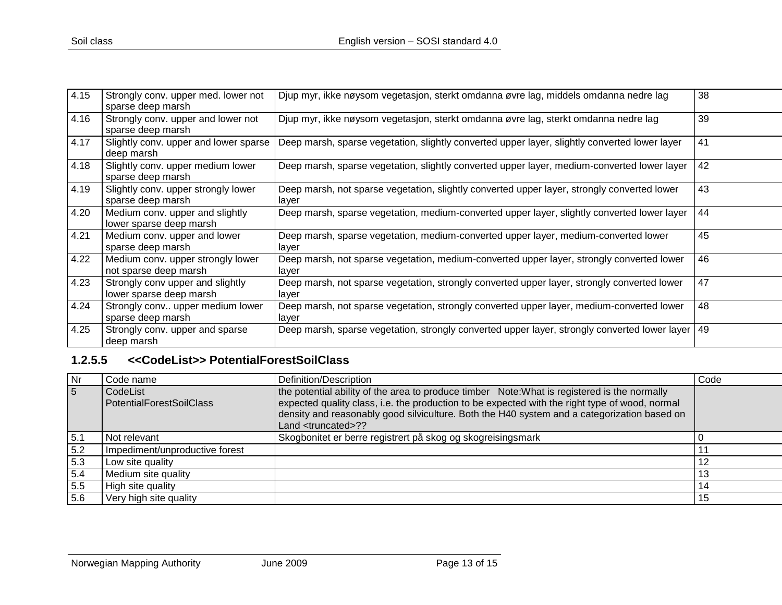| 4.15 | Strongly conv. upper med. lower not<br>sparse deep marsh    | Djup myr, ikke nøysom vegetasjon, sterkt omdanna øvre lag, middels omdanna nedre lag                 | 38 |
|------|-------------------------------------------------------------|------------------------------------------------------------------------------------------------------|----|
| 4.16 | Strongly conv. upper and lower not<br>sparse deep marsh     | Djup myr, ikke nøysom vegetasjon, sterkt omdanna øvre lag, sterkt omdanna nedre lag                  | 39 |
| 4.17 | Slightly conv. upper and lower sparse<br>deep marsh         | Deep marsh, sparse vegetation, slightly converted upper layer, slightly converted lower layer        | 41 |
| 4.18 | Slightly conv. upper medium lower<br>sparse deep marsh      | Deep marsh, sparse vegetation, slightly converted upper layer, medium-converted lower layer          | 42 |
| 4.19 | Slightly conv. upper strongly lower<br>sparse deep marsh    | Deep marsh, not sparse vegetation, slightly converted upper layer, strongly converted lower<br>layer | 43 |
| 4.20 | Medium conv. upper and slightly<br>lower sparse deep marsh  | Deep marsh, sparse vegetation, medium-converted upper layer, slightly converted lower layer          | 44 |
| 4.21 | Medium conv. upper and lower<br>sparse deep marsh           | Deep marsh, sparse vegetation, medium-converted upper layer, medium-converted lower<br>layer         | 45 |
| 4.22 | Medium conv. upper strongly lower<br>not sparse deep marsh  | Deep marsh, not sparse vegetation, medium-converted upper layer, strongly converted lower<br>layer   | 46 |
| 4.23 | Strongly conv upper and slightly<br>lower sparse deep marsh | Deep marsh, not sparse vegetation, strongly converted upper layer, strongly converted lower<br>layer | 47 |
| 4.24 | Strongly conv upper medium lower<br>sparse deep marsh       | Deep marsh, not sparse vegetation, strongly converted upper layer, medium-converted lower<br>layer   | 48 |
| 4.25 | Strongly conv. upper and sparse<br>deep marsh               | Deep marsh, sparse vegetation, strongly converted upper layer, strongly converted lower layer        | 49 |

## **1.2.5.5 <<CodeList>> PotentialForestSoilClass**

<span id="page-12-0"></span>

| Nr  | Code name                                   | Definition/Description                                                                                                                                                                                                                                                                                                          | Code |
|-----|---------------------------------------------|---------------------------------------------------------------------------------------------------------------------------------------------------------------------------------------------------------------------------------------------------------------------------------------------------------------------------------|------|
| 5   | CodeList<br><b>PotentialForestSoilClass</b> | the potential ability of the area to produce timber Note: What is registered is the normally<br>expected quality class, i.e. the production to be expected with the right type of wood, normal<br>density and reasonably good silviculture. Both the H40 system and a categorization based on<br>Land <truncated>??</truncated> |      |
| 5.1 | Not relevant                                | Skogbonitet er berre registrert på skog og skogreisingsmark                                                                                                                                                                                                                                                                     |      |
| 5.2 | Impediment/unproductive forest              |                                                                                                                                                                                                                                                                                                                                 |      |
| 5.3 | Low site quality                            |                                                                                                                                                                                                                                                                                                                                 | 12   |
| 5.4 | Medium site quality                         |                                                                                                                                                                                                                                                                                                                                 | 13   |
| 5.5 | High site quality                           |                                                                                                                                                                                                                                                                                                                                 | 14   |
| 5.6 | Very high site quality                      |                                                                                                                                                                                                                                                                                                                                 | 15   |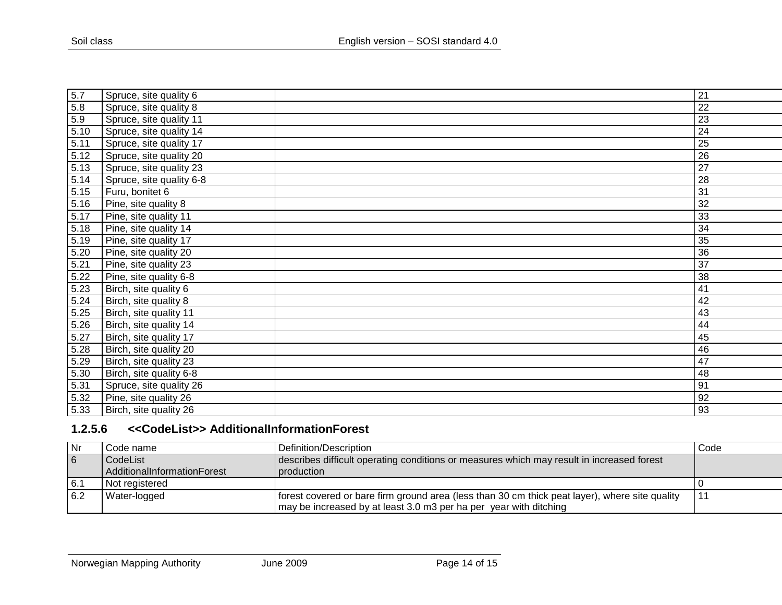| 5.7  | Spruce, site quality 6   | 21              |
|------|--------------------------|-----------------|
| 5.8  | Spruce, site quality 8   | 22              |
| 5.9  | Spruce, site quality 11  | 23              |
| 5.10 | Spruce, site quality 14  | 24              |
| 5.11 | Spruce, site quality 17  | 25              |
| 5.12 | Spruce, site quality 20  | $\overline{26}$ |
| 5.13 | Spruce, site quality 23  | 27              |
| 5.14 | Spruce, site quality 6-8 | 28              |
| 5.15 | Furu, bonitet 6          | 31              |
| 5.16 | Pine, site quality 8     | 32              |
| 5.17 | Pine, site quality 11    | 33              |
| 5.18 | Pine, site quality 14    | 34              |
| 5.19 | Pine, site quality 17    | 35              |
| 5.20 | Pine, site quality 20    | 36              |
| 5.21 | Pine, site quality 23    | 37              |
| 5.22 | Pine, site quality 6-8   | 38              |
| 5.23 | Birch, site quality 6    | 41              |
| 5.24 | Birch, site quality 8    | 42              |
| 5.25 | Birch, site quality 11   | 43              |
| 5.26 | Birch, site quality 14   | 44              |
| 5.27 | Birch, site quality 17   | 45              |
| 5.28 | Birch, site quality 20   | 46              |
| 5.29 | Birch, site quality 23   | 47              |
| 5.30 | Birch, site quality 6-8  | 48              |
| 5.31 | Spruce, site quality 26  | 91              |
| 5.32 | Pine, site quality 26    | 92              |
| 5.33 | Birch, site quality 26   | 93              |
|      |                          |                 |

#### **1.2.5.6 <<CodeList>> AdditionalInformationForest**

<span id="page-13-0"></span>

| l Nr | Code name                   | Definition/Description                                                                         | Code |
|------|-----------------------------|------------------------------------------------------------------------------------------------|------|
| 6    | CodeList                    | describes difficult operating conditions or measures which may result in increased forest      |      |
|      | AdditionalInformationForest | production                                                                                     |      |
| 6.1  | Not registered              |                                                                                                |      |
| 6.2  | Water-logged                | forest covered or bare firm ground area (less than 30 cm thick peat layer), where site quality |      |
|      |                             | may be increased by at least 3.0 m3 per ha per year with ditching                              |      |